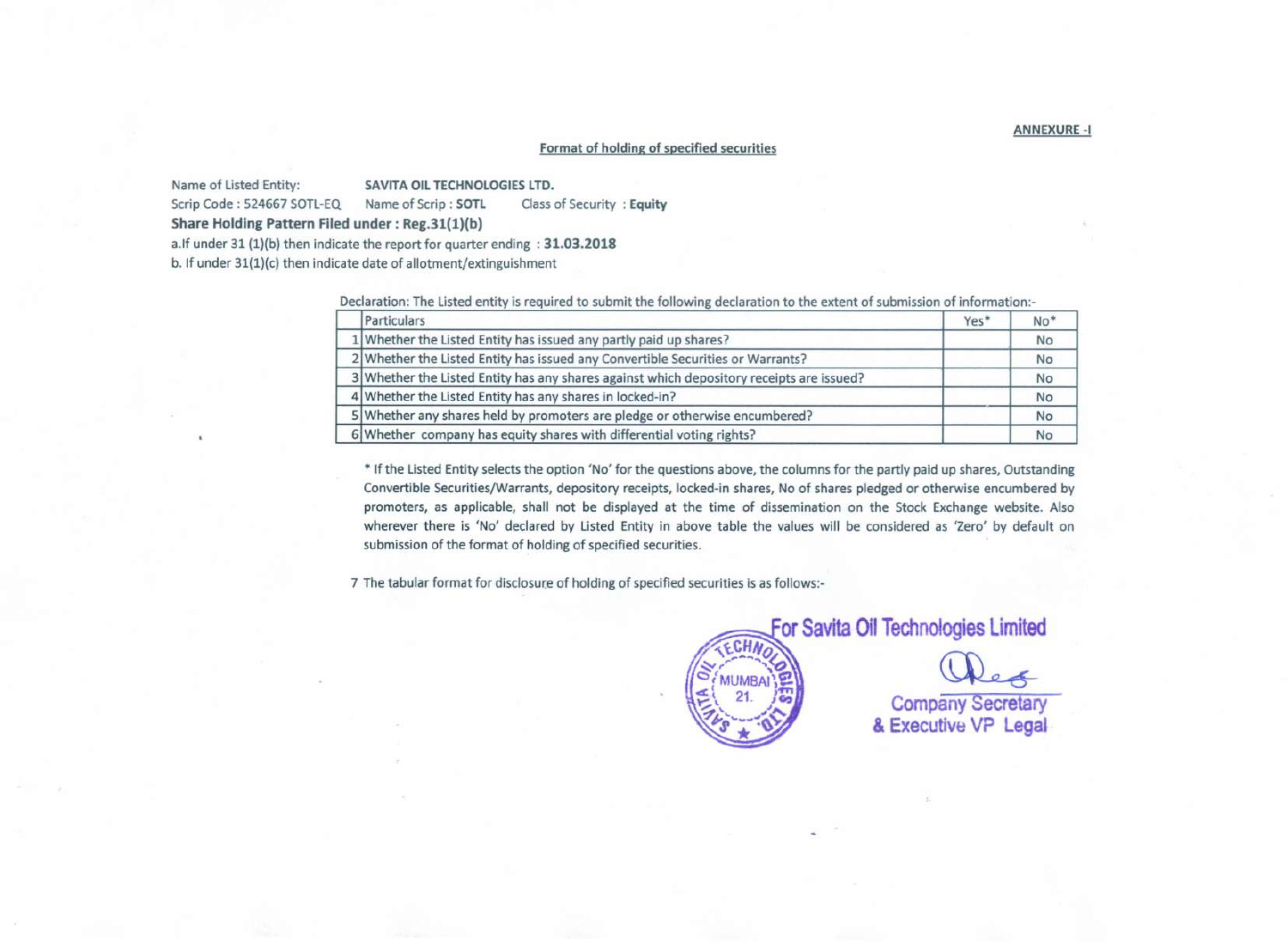## Format of holding of specified securities

Name of Listed Entity: SAVITA OIL TECHNOLOGIES LTD.

Scrip Code: 524667 SOTL-EQ Name of Scrip: SOTL Class of Security : Equity

Share Holding Pattern Filed under: Reg.31(1)(b)

a.lf under 31 (1)(b) then indicate the report for quarter ending : 31.03.2018

b. If under  $31(1)(c)$  then indicate date of allotment/extinguishment

Declaration: The Listed entity is required to submit the following declaration to the extent of submission of information:-

| Particulars                                                                              | Yes* | $No*$     |
|------------------------------------------------------------------------------------------|------|-----------|
| 1 Whether the Listed Entity has issued any partly paid up shares?                        |      | <b>No</b> |
| 2 Whether the Listed Entity has issued any Convertible Securities or Warrants?           |      | <b>No</b> |
| 3 Whether the Listed Entity has any shares against which depository receipts are issued? |      | <b>No</b> |
| 4 Whether the Listed Entity has any shares in locked-in?                                 |      | <b>No</b> |
| 5 Whether any shares held by promoters are pledge or otherwise encumbered?               |      | <b>No</b> |
| 6 Whether company has equity shares with differential voting rights?                     |      | No        |

• If the Listed Entity selects the option 'No' for the questions above, the columns for the partly paid up shares, Outstanding Convertible Securities/Warrants, depository receipts, locked-in shares, No of shares pledged or otherwise encumbered by promoters, as applicable, shall not be displayed at the time of dissemination on the Stock Exchange website. Also wherever there is 'No' declared by Listed Entity in above table the values will be considered as 'Zero' by default on submission of the format of holding of specified securities.

7 The tabular format for disclosure of holding of specified securities is as follows:-



For Savita Oil Technologies Limited

Company Secretary<br>& Executive VP Legal

ANNEXURE-I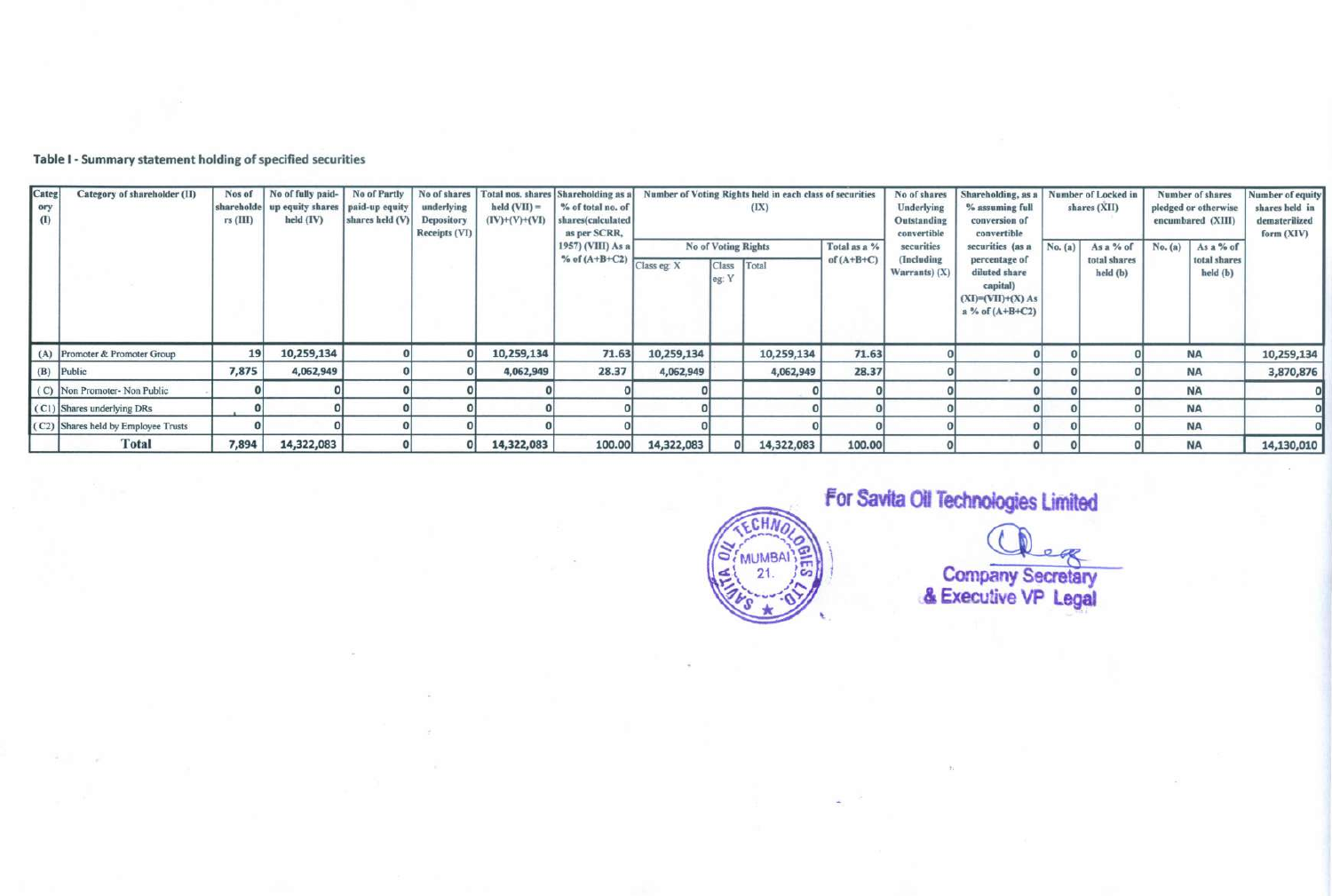Table I - Summary statement holding of specified securities

| Categ<br>ory<br>(1) | Category of shareholder (II)        | Nos of<br>$rs$ (III) | held (IV)  | No of fully paid-<br>shareholde up equity shares   paid-up equity | No of Partly<br>shares held (V) | No of shares<br>underlying<br><b>Depository</b><br>Receipts (VI) | Total nos. shares<br>$held (VII) =$<br>$(IV)+(V)+(VI)$      | Shareholding as a<br>% of total no. of<br>shares(calculated<br>as per SCRR, |                                                     |            | Number of Voting Rights held in each class of securities<br>(IX) |                                                | No of shares<br>Underlying<br>Outstanding<br>convertible                                                     | Shareholding, as a<br>% assuming full<br>conversion of<br>convertible |                                       | Number of Locked in<br>shares (XII) |                                       | Number of shares<br>pledged or otherwise<br>encumbared (XIII) | Number of equity<br>shares held in<br>dematerilized<br>form (XIV) |
|---------------------|-------------------------------------|----------------------|------------|-------------------------------------------------------------------|---------------------------------|------------------------------------------------------------------|-------------------------------------------------------------|-----------------------------------------------------------------------------|-----------------------------------------------------|------------|------------------------------------------------------------------|------------------------------------------------|--------------------------------------------------------------------------------------------------------------|-----------------------------------------------------------------------|---------------------------------------|-------------------------------------|---------------------------------------|---------------------------------------------------------------|-------------------------------------------------------------------|
|                     |                                     |                      |            |                                                                   |                                 |                                                                  | 1957) (VHI) As a<br>$\frac{1}{2}$ % of (A+B+C2) Class eg: X |                                                                             | <b>No of Voting Rights</b><br><b>Class</b><br>eg: Y | Total      | Total as a %<br>of $(A+B+C)$                                     | securities<br>(Including<br>Warrants $)$ $(X)$ | securities (as a<br>percentage of<br>diluted share<br>capital)<br>$(XI)=(VII)+(X) As$<br>$a$ % of $(A+B+C2)$ | No. (a)                                                               | As a % of<br>total shares<br>held (b) | No. (a)                             | As a % of<br>total shares<br>held (b) |                                                               |                                                                   |
|                     | (A) Promoter & Promoter Group       | 19                   | 10,259,134 |                                                                   |                                 | 10,259,134                                                       | 71.63                                                       | 10,259,134                                                                  |                                                     | 10,259,134 | 71.63                                                            |                                                |                                                                                                              |                                                                       |                                       |                                     | <b>NA</b>                             | 10,259,134                                                    |                                                                   |
|                     | (B) Public                          | 7,875                | 4,062,949  |                                                                   |                                 | 4,062,949                                                        | 28.37                                                       | 4,062,949                                                                   |                                                     | 4,062,949  | 28.37                                                            |                                                |                                                                                                              |                                                                       |                                       |                                     | <b>NA</b>                             | 3,870,876                                                     |                                                                   |
|                     | (C) Non Promoter- Non Public        |                      |            |                                                                   |                                 |                                                                  |                                                             |                                                                             |                                                     |            |                                                                  |                                                |                                                                                                              |                                                                       |                                       |                                     | <b>NA</b>                             |                                                               |                                                                   |
|                     | (C1) Shares underlying DRs          |                      |            |                                                                   |                                 |                                                                  |                                                             |                                                                             |                                                     |            |                                                                  |                                                |                                                                                                              |                                                                       |                                       |                                     | <b>NA</b>                             |                                                               |                                                                   |
|                     | (C2) Shares held by Employee Trusts |                      |            |                                                                   |                                 |                                                                  |                                                             |                                                                             |                                                     |            |                                                                  |                                                |                                                                                                              |                                                                       |                                       |                                     | <b>NA</b>                             |                                                               |                                                                   |
|                     | Total                               | 7,894                | 14,322,083 |                                                                   |                                 | 14,322,083                                                       | 100.00                                                      | 14,322,083                                                                  |                                                     | 14,322,083 | 100.00                                                           |                                                |                                                                                                              |                                                                       |                                       |                                     | <b>NA</b>                             | 14,130,010                                                    |                                                                   |



For Savita Oil Technologies Limited

Company Secretary & Executive VP Le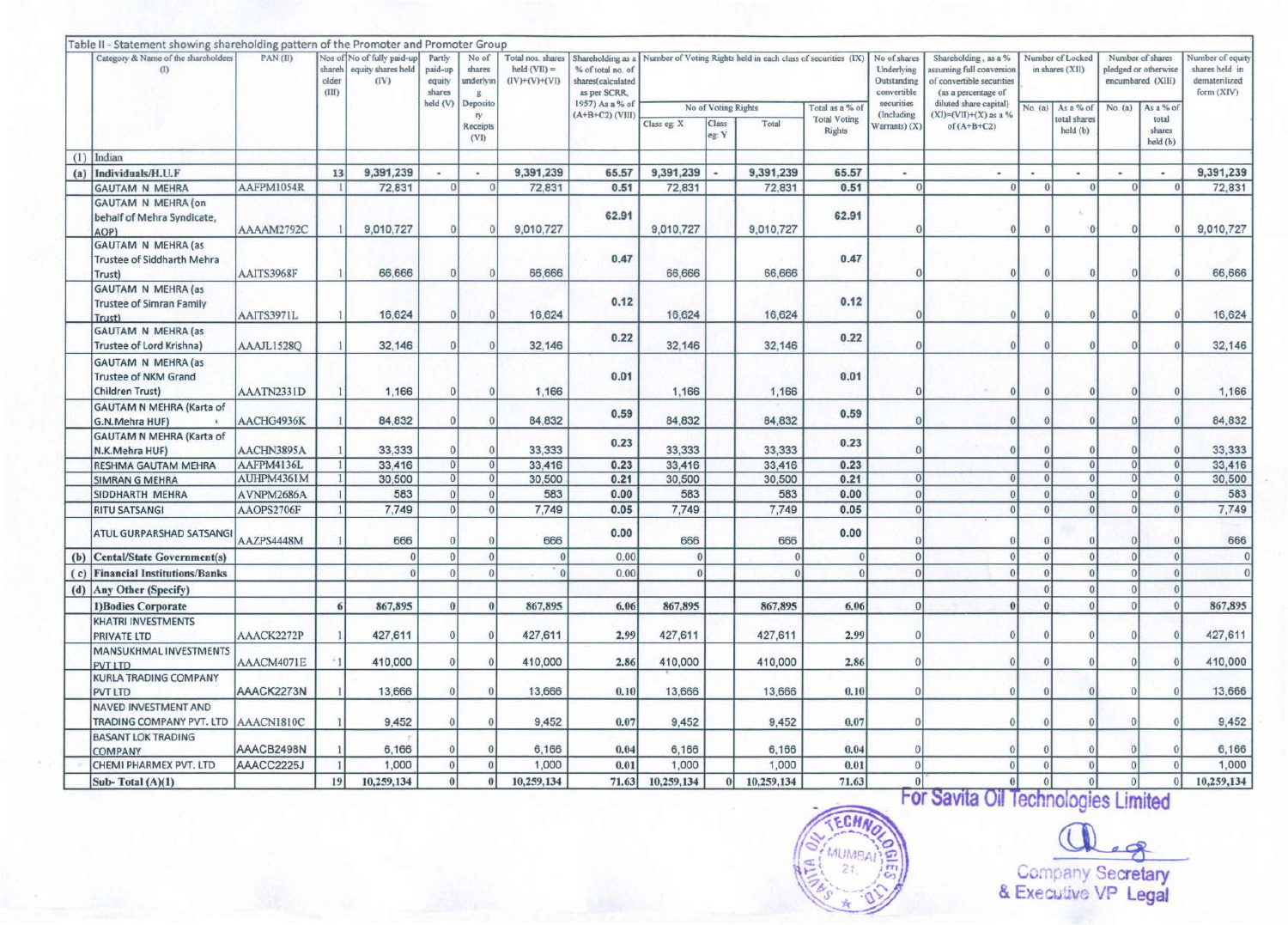|     | Table II - Statement showing shareholding pattern of the Promoter and Promoter Group |            |                          |                                                          |                                       |                                   |                                                        |                                                                                                                                           |             |                     |            |                                      |                                                          |                                                                                                      |          |                                     |                 |                                                               |                                                                   |
|-----|--------------------------------------------------------------------------------------|------------|--------------------------|----------------------------------------------------------|---------------------------------------|-----------------------------------|--------------------------------------------------------|-------------------------------------------------------------------------------------------------------------------------------------------|-------------|---------------------|------------|--------------------------------------|----------------------------------------------------------|------------------------------------------------------------------------------------------------------|----------|-------------------------------------|-----------------|---------------------------------------------------------------|-------------------------------------------------------------------|
|     | Category & Name of the shareholders<br>(1)                                           | PAN(II)    | shareh<br>older<br>(HID) | Nos of No of fully paid-up<br>equity shares held<br>(IV) | Partly<br>paid-up<br>equity<br>shares | No of<br>shares<br>underlyin<br>8 | Total nos. shares<br>held $(VII) =$<br>$(IV)+(V)+(VI)$ | Shareholding as a Number of Voting Rights held in each class of securities (IX)<br>% of total no. of<br>shares(calculated<br>as per SCRR. |             |                     |            |                                      | No of shares<br>Underlying<br>Outstanding<br>convertible | Shareholding, as a %<br>issuming full conversion<br>of convertible securities<br>(as a percentage of |          | Number of Locked<br>in shares (XII) |                 | Number of shares<br>pledged or otherwise<br>encumbared (XIII) | Number of equity<br>shares held in<br>dematerilized<br>form (XIV) |
|     |                                                                                      |            |                          |                                                          | held (V)                              | Deposito                          |                                                        | 1957) As a % of                                                                                                                           |             | No of Voting Rights |            | Total as a % of                      | securities                                               | diluted share capital)                                                                               | No. (a)  | As a % of                           | No. (a)         | As a % of                                                     |                                                                   |
|     |                                                                                      |            |                          |                                                          |                                       | ry.<br>Receipts<br>(VI)           |                                                        | $(A+B+C2)$ (VIII)                                                                                                                         | Class eg: X | Class<br>eg: Y      | Total      | <b>Total Voting</b><br><b>Rights</b> | (Including<br>Warrants) (X)                              | $(XI)=(VII)+(X)$ as a %<br>of $(A+B+C2)$                                                             |          | total shares<br>held (b)            |                 | total<br>shares<br>held (b)                                   |                                                                   |
| (1) | Indian                                                                               |            |                          |                                                          |                                       |                                   |                                                        |                                                                                                                                           |             |                     |            |                                      |                                                          |                                                                                                      |          |                                     |                 |                                                               |                                                                   |
| (a) | Individuals/H.U.F                                                                    |            | 13                       | 9,391,239                                                | ×                                     | $\omega$                          | 9,391,239                                              | 65.57                                                                                                                                     | 9,391,239   |                     | 9,391,239  | 65.57                                | ¥.                                                       | ×                                                                                                    |          |                                     |                 | $\overline{\phantom{a}}$                                      | 9,391,239                                                         |
|     | <b>GAUTAM N MEHRA</b>                                                                | AAFPM1054R | $\mathbf{1}$             | 72,831                                                   | 0                                     | $\Omega$                          | 72,831                                                 | 0.51                                                                                                                                      | 72,831      |                     | 72,831     | 0.51                                 | $\theta$                                                 | $\Omega$                                                                                             | $\Omega$ | $\Omega$                            | $\theta$        | $\theta$                                                      | 72,831                                                            |
|     | GAUTAM N MEHRA (on<br>behalf of Mehra Syndicate,<br>AOP)                             | AAAAM2792C |                          | 9,010,727                                                | 0                                     |                                   | 9,010,727                                              | 62.91                                                                                                                                     | 9,010,727   |                     | 9,010,727  | 62.91                                | $\theta$                                                 | $\Omega$                                                                                             | O        | $\theta$                            | $\theta$        |                                                               | 9,010,727                                                         |
|     | <b>GAUTAM N MEHRA (as</b><br><b>Trustee of Siddharth Mehra</b><br>Trust)             | AAITS3968F |                          | 66,666                                                   |                                       |                                   | 66,666                                                 | 0.47                                                                                                                                      | 66,666      |                     | 66,666     | 0.47                                 | $\Omega$                                                 |                                                                                                      |          |                                     |                 |                                                               | 66,666                                                            |
|     | <b>GAUTAM N MEHRA (as</b><br><b>Trustee of Simran Family</b><br>Trust)               | AAITS3971L |                          | 16,624                                                   |                                       |                                   | 16,624                                                 | 0.12                                                                                                                                      | 16,624      |                     | 16,624     | 0.12                                 | $\Omega$                                                 | $\Omega$                                                                                             |          |                                     |                 |                                                               | 16,624                                                            |
|     | <b>GAUTAM N MEHRA (as</b><br>Trustee of Lord Krishna)                                | AAAJL1528Q |                          | 32,146                                                   |                                       |                                   | 32,146                                                 | 0.22                                                                                                                                      | 32,146      |                     | 32,146     | 0.22                                 | $\theta$                                                 |                                                                                                      |          | $\Omega$                            |                 |                                                               | 32,146                                                            |
|     | <b>GAUTAM N MEHRA (as</b><br><b>Trustee of NKM Grand</b><br>Children Trust)          | AAATN2331D |                          | 1,166                                                    |                                       | $\Omega$                          | 1,166                                                  | 0.01                                                                                                                                      | 1,166       |                     | 1,166      | 0.01                                 | $\vert$                                                  | $\Omega$                                                                                             | $\Omega$ | $\Omega$                            | $\Omega$        |                                                               | 1,166                                                             |
|     | <b>GAUTAM N MEHRA (Karta of</b><br>G.N.Mehra HUF)                                    | AACHG4936K |                          | 84,832                                                   | $\theta$                              | 0                                 | 84.832                                                 | 0.59                                                                                                                                      | 84.832      |                     | 84,832     | 0.59                                 | $\theta$                                                 | $\Omega$                                                                                             | $\Omega$ | $\Omega$                            | $\theta$        |                                                               | 84,832                                                            |
|     | GAUTAM N MEHRA (Karta of<br>N.K.Mehra HUF)                                           | AACHN3895A |                          | 33,333                                                   | $\Omega$                              |                                   | 33,333                                                 | 0.23                                                                                                                                      | 33,333      |                     | 33,333     | 0.23                                 | $\theta$                                                 |                                                                                                      |          | 0                                   | 0               |                                                               | 33,333                                                            |
|     | RESHMA GAUTAM MEHRA                                                                  | AAFPM4136L |                          | 33,416                                                   | $\overline{0}$                        | $\Omega$                          | 33,416                                                 | 0.23                                                                                                                                      | 33,416      |                     | 33,416     | 0.23                                 |                                                          |                                                                                                      | $\Omega$ | $\theta$                            | $\theta$        |                                                               | 33,416                                                            |
|     | <b>SIMRAN G MEHRA</b>                                                                | AUHPM4361M |                          | 30,500                                                   | $\theta$                              | $\Omega$                          | 30,500                                                 | 0.21                                                                                                                                      | 30,500      |                     | 30,500     | 0.21                                 | $\Omega$                                                 | $\Omega$                                                                                             |          | 0                                   | $\vert 0 \vert$ |                                                               | 30,500                                                            |
|     | SIDDHARTH MEHRA                                                                      | AVNPM2686A |                          | 583                                                      | $\Omega$                              | $\Omega$                          | 583                                                    | 0.00                                                                                                                                      | 583         |                     | 583        | 0.00                                 | $\overline{0}$                                           | $\Omega$                                                                                             | $\Omega$ | $\vert$                             | $\theta$        |                                                               | 583                                                               |
|     | <b>RITU SATSANGI</b>                                                                 | AAOPS2706F |                          | 7,749                                                    | $\Omega$                              | $\theta$                          | 7,749                                                  | 0.05                                                                                                                                      | 7,749       |                     | 7,749      | 0.05                                 | $\theta$                                                 | $\Omega$                                                                                             | $\Omega$ | $\theta$                            | $\theta$        |                                                               | 7,749                                                             |
|     | ATUL GURPARSHAD SATSANG                                                              | AAZPS4448M |                          | 666                                                      | $\Omega$                              |                                   | 666                                                    | 0.00                                                                                                                                      | 666         |                     | 666        | 0.00                                 | $\Omega$                                                 | $\Omega$                                                                                             |          | $\Omega$                            | $\Omega$        |                                                               | 666                                                               |
| (b) | <b>Cental/State Government(s)</b>                                                    |            |                          |                                                          | 0                                     | $\theta$                          | $\theta$                                               | 0.00                                                                                                                                      | $\Omega$    |                     | $\Omega$   | $\theta$                             | $\theta$                                                 | $\mathbf{0}$                                                                                         | $\Omega$ | $\overline{0}$                      | $\theta$        |                                                               | $\theta$                                                          |
| (c) | <b>Financial Institutions/Banks</b>                                                  |            |                          |                                                          | $\Omega$                              | $\Omega$                          | $\Omega$                                               | 0.00                                                                                                                                      | $\Omega$    |                     | $\theta$   | $\Omega$                             | $\theta$                                                 | $\theta$                                                                                             |          | $\theta$                            | $\theta$        | $\Omega$                                                      | $\theta$                                                          |
|     | (d) Any Other (Specify)                                                              |            |                          |                                                          |                                       |                                   |                                                        |                                                                                                                                           |             |                     |            |                                      |                                                          |                                                                                                      |          | $\theta$                            | $\theta$        | $\Omega$                                                      |                                                                   |
|     | 1) Bodies Corporate                                                                  |            | 6                        | 867,895                                                  | $\theta$                              | $\theta$                          | 867,895                                                | 6.06                                                                                                                                      | 867,895     |                     | 867,895    | 6.06                                 |                                                          |                                                                                                      |          | $\theta$                            | $\Omega$        |                                                               | 867,895                                                           |
|     | <b>KHATRI INVESTMENTS</b><br><b>PRIVATE LTD</b>                                      | AAACK2272P |                          | 427,611                                                  | $\Omega$                              | $\theta$                          | 427,611                                                | 2.99                                                                                                                                      | 427,611     |                     | 427,611    | 2.99                                 | $\theta$                                                 | $\Omega$                                                                                             | $\Omega$ | $\Omega$                            | $\Omega$        |                                                               | 427,611                                                           |
|     | MANSUKHMAL INVESTMENTS<br>PVT LTD                                                    | AAACM4071E | $-1$                     | 410,000                                                  | $\theta$                              | $\epsilon$                        | 410,000                                                | 2.86                                                                                                                                      | 410,000     |                     | 410,000    | 2.86                                 | $\theta$                                                 | $\Omega$                                                                                             |          | 0                                   | $\theta$        |                                                               | 410,000                                                           |
|     | <b>KURLA TRADING COMPANY</b><br><b>PVT LTD</b>                                       | AAACK2273N |                          | 13,666                                                   | $\theta$                              | $\Omega$                          | 13,666                                                 | 0.10                                                                                                                                      | 13,666      |                     | 13,666     | 0.10                                 | $\Omega$                                                 | $\Omega$                                                                                             | $\Omega$ | $\Omega$                            | $\theta$        |                                                               | 13,666                                                            |
|     | NAVED INVESTMENT AND                                                                 |            |                          |                                                          |                                       |                                   |                                                        |                                                                                                                                           |             |                     |            |                                      |                                                          |                                                                                                      |          |                                     |                 |                                                               |                                                                   |
|     | TRADING COMPANY PVT. LTD                                                             | AAACN1810C |                          | 9.452                                                    | $\theta$                              | $\epsilon$                        | 9,452                                                  | 0.07                                                                                                                                      | 9,452       |                     | 9,452      | 0.07                                 | $\Omega$                                                 | $\theta$                                                                                             | $\Omega$ | $\Omega$                            | $\theta$        |                                                               | 9,452                                                             |
|     | <b>BASANT LOK TRADING</b><br>COMPANY                                                 | AAACB2498N |                          | 6,166                                                    | $\mathbf{0}$                          | $\Omega$                          | 6,166                                                  | 0.04                                                                                                                                      | 6,166       |                     | 6,166      | 0.04                                 | $\Omega$                                                 | $\theta$                                                                                             |          | $\theta$                            | $\theta$        |                                                               | 6,166                                                             |
|     | CHEMI PHARMEX PVT. LTD                                                               | AAACC2225J |                          | 1,000                                                    | $\vert$                               | $\Omega$                          | 1,000                                                  | 0.01                                                                                                                                      | 1,000       |                     | 1,000      | 0.01                                 | $\Omega$                                                 | $\overline{0}$                                                                                       | $\theta$ | $\overline{0}$                      | $\theta$        |                                                               | 1,000                                                             |
|     | Sub-Total (A)(1)                                                                     |            | 19                       | 10,259,134                                               | $\theta$                              |                                   | 10,259,134                                             | 71.63                                                                                                                                     | 10,259,134  |                     | 10,259,134 | 71.63                                |                                                          | $\theta$                                                                                             |          | $\overline{0}$                      | $\theta$        |                                                               | 10,259,134                                                        |

ECH

MUMBAI

 $\mathcal{R}$ 

Company Secretary & Executive VP Legal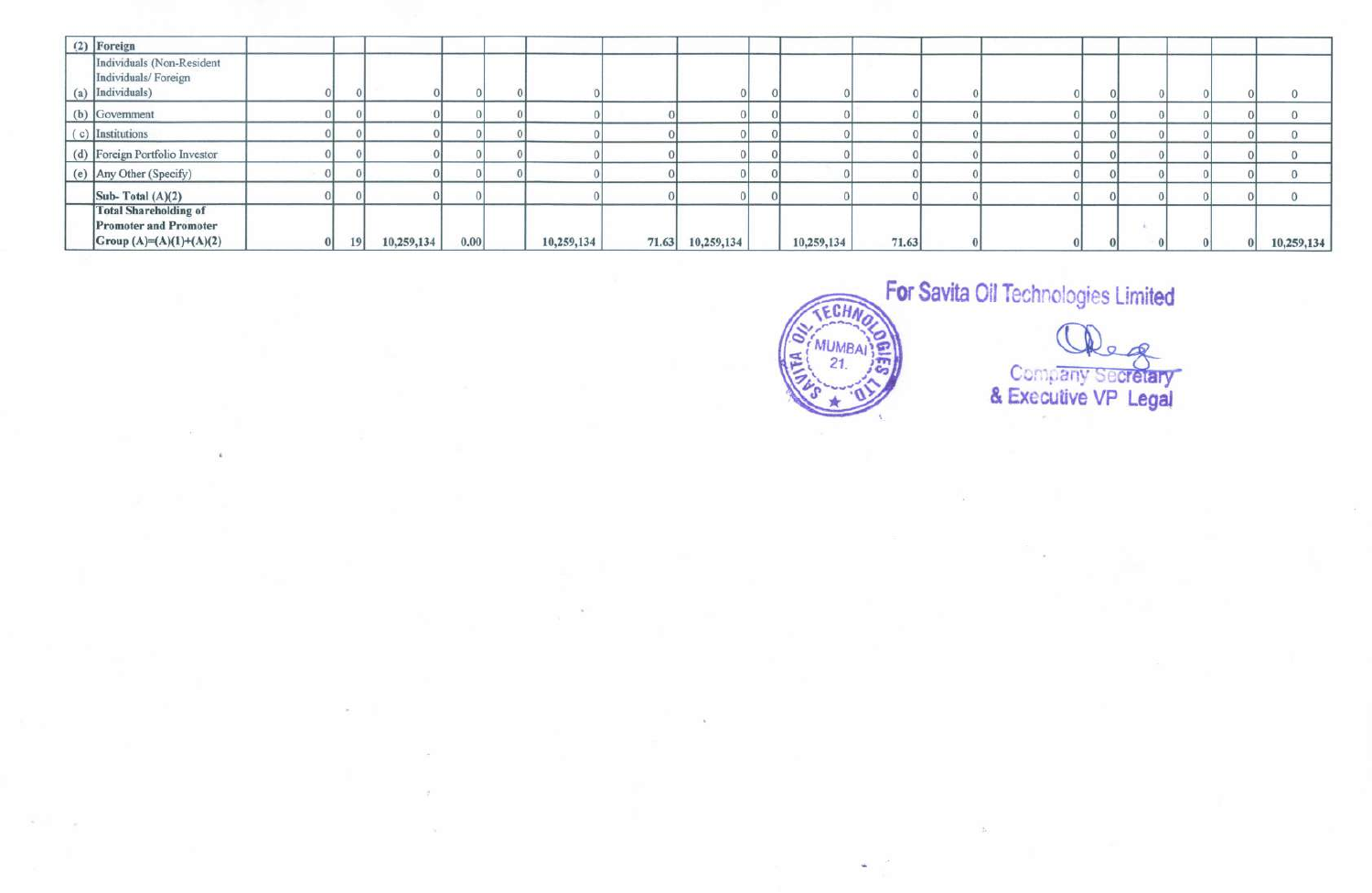| (2) Foreign                                                                             |    |            |      |            |       |            |            |       |  |  |  |            |
|-----------------------------------------------------------------------------------------|----|------------|------|------------|-------|------------|------------|-------|--|--|--|------------|
| Individuals (Non-Resident<br>Individuals/Foreign<br>(a) Individuals)                    |    |            |      |            |       |            |            |       |  |  |  |            |
| (b) Government                                                                          |    |            |      |            |       |            |            |       |  |  |  |            |
| (c) Institutions                                                                        |    |            |      |            |       |            |            |       |  |  |  |            |
| (d) Foreign Portfolio Investor                                                          |    |            |      |            |       |            |            |       |  |  |  |            |
| (e) Any Other (Specify)                                                                 |    |            |      |            |       |            |            |       |  |  |  |            |
| Sub-Total $(A)(2)$                                                                      |    |            |      |            |       |            |            |       |  |  |  |            |
| <b>Total Shareholding of</b><br><b>Promoter and Promoter</b><br>Group (A)=(A)(1)+(A)(2) | 19 | 10,259,134 | 0.00 | 10,259,134 | 71.63 | 10,259,134 | 10,259,134 | 71.63 |  |  |  | 10,259,134 |



Company Secretary<br>& Executive VP Legal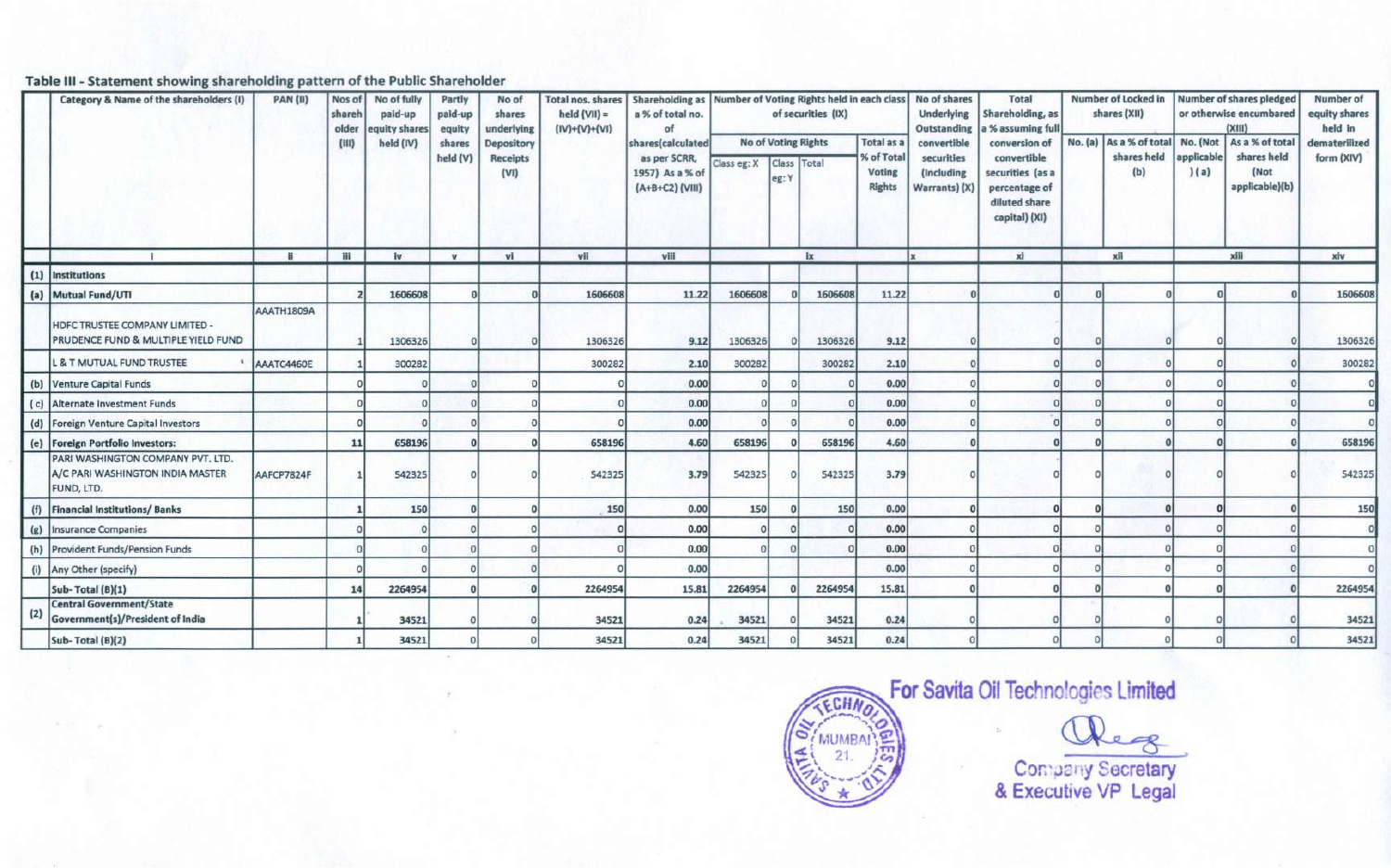## Table III - Statement showing shareholding pattern of the Public Shareholder

|     | Category & Name of the shareholders (I)                                             | <b>PAN (II)</b> | Nos of<br>shareh<br>older<br>(III) | No of fully<br>paid-up<br>quity shares<br>held (IV) | Partly<br>paid-up<br>equity<br>shares<br>held (V) | No of<br>shares<br>underlying<br>Depository<br>Receipts<br>(VI) | <b>Total nos. shares</b><br>held $(VII)$ =<br>$(IV)+(V)+(VI)$ | Shareholding as Number of Voting Rights held in each class<br>a % of total no.<br>of<br>shares(calculated<br>as per SCRR,<br>1957) As a % of<br>(A+B+C2) (VIII) | Class eg: X | leg: Y | of securities (IX)<br><b>No of Voting Rights</b><br>Class Total | <b>Total as a</b><br>% of Total<br>Voting<br><b>Rights</b> | No of shares<br><b>Underlying</b><br>Outstanding<br>convertible<br>securities<br>(Including<br>Warrants) (X) | <b>Total</b><br>Shareholding, as<br>% assuming full<br>conversion of<br>convertible<br>securities (as a<br>percentage of<br>diluted share<br>capital) (XI) | Number of Locked in<br>shares (XII)<br>No. (a) As a % of total No. (Not<br>shares held<br>(b) | applicable<br>(a) | Number of shares pledged<br>or otherwise encumbared<br>(XIII)<br>As a % of total<br>shares held<br>(Not<br>applicable)(b) | Number of<br>equity shares<br>held in<br>dematerilized<br>form (XIV) |
|-----|-------------------------------------------------------------------------------------|-----------------|------------------------------------|-----------------------------------------------------|---------------------------------------------------|-----------------------------------------------------------------|---------------------------------------------------------------|-----------------------------------------------------------------------------------------------------------------------------------------------------------------|-------------|--------|-----------------------------------------------------------------|------------------------------------------------------------|--------------------------------------------------------------------------------------------------------------|------------------------------------------------------------------------------------------------------------------------------------------------------------|-----------------------------------------------------------------------------------------------|-------------------|---------------------------------------------------------------------------------------------------------------------------|----------------------------------------------------------------------|
|     |                                                                                     | $\mathbf{H}$    | m                                  | iv                                                  | $\mathbf{v}$                                      | vi                                                              | vii                                                           | viii                                                                                                                                                            |             |        | ix                                                              |                                                            | łν                                                                                                           | xi                                                                                                                                                         | xii                                                                                           |                   | xiii                                                                                                                      | xiv                                                                  |
|     | (1) Institutions                                                                    |                 |                                    |                                                     |                                                   |                                                                 |                                                               |                                                                                                                                                                 |             |        |                                                                 |                                                            |                                                                                                              |                                                                                                                                                            |                                                                                               |                   |                                                                                                                           |                                                                      |
|     | (a) Mutual Fund/UTI                                                                 |                 |                                    | 1606608                                             |                                                   |                                                                 | 1606608                                                       | 11.22                                                                                                                                                           | 1606608     |        | 1606608                                                         | 11.22                                                      |                                                                                                              |                                                                                                                                                            |                                                                                               |                   |                                                                                                                           | 1606608                                                              |
|     | HDFC TRUSTEE COMPANY LIMITED -<br>PRUDENCE FUND & MULTIPLE YIELD FUND               | AAATH1809A      |                                    | 1306326                                             |                                                   |                                                                 | 1306326                                                       | 9.12                                                                                                                                                            | 1306326     |        | 1306326                                                         | 9.12                                                       |                                                                                                              |                                                                                                                                                            |                                                                                               |                   |                                                                                                                           | 1306326                                                              |
|     | <b>L &amp; T MUTUAL FUND TRUSTEE</b>                                                | AAATC4460E      |                                    | 300282                                              |                                                   |                                                                 | 300282                                                        | 2.10                                                                                                                                                            | 300282      |        | 300282                                                          | 2.10                                                       |                                                                                                              |                                                                                                                                                            |                                                                                               |                   |                                                                                                                           | 300282                                                               |
|     | (b) Venture Capital Funds                                                           |                 |                                    |                                                     |                                                   |                                                                 |                                                               | 0.00                                                                                                                                                            |             |        |                                                                 | 0.00                                                       |                                                                                                              |                                                                                                                                                            |                                                                                               |                   |                                                                                                                           | $\circ$                                                              |
|     | (c) Alternate Investment Funds                                                      |                 |                                    |                                                     |                                                   |                                                                 |                                                               | 0.00                                                                                                                                                            |             |        |                                                                 | 0.00                                                       |                                                                                                              |                                                                                                                                                            |                                                                                               |                   |                                                                                                                           |                                                                      |
|     | (d) Foreign Venture Capital Investors                                               |                 |                                    |                                                     |                                                   |                                                                 |                                                               | 0.00                                                                                                                                                            |             |        |                                                                 | 0.00                                                       |                                                                                                              |                                                                                                                                                            |                                                                                               |                   |                                                                                                                           |                                                                      |
| (e) | <b>Foreign Portfolio Investors:</b>                                                 |                 | 11                                 | 658196                                              |                                                   |                                                                 | 658196                                                        | 4.60                                                                                                                                                            | 658196      |        | 658196                                                          | 4.60                                                       |                                                                                                              |                                                                                                                                                            |                                                                                               |                   |                                                                                                                           | 658196                                                               |
|     | PARI WASHINGTON COMPANY PVT. LTD.<br>A/C PARI WASHINGTON INDIA MASTER<br>FUND, LTD. | AAFCP7824F      |                                    | 542325                                              |                                                   |                                                                 | 542325                                                        | 3.79                                                                                                                                                            | 542325      |        | 542325                                                          | 3.79                                                       |                                                                                                              |                                                                                                                                                            |                                                                                               |                   |                                                                                                                           | 542325                                                               |
| (f) | <b>Financial Institutions/Banks</b>                                                 |                 |                                    | 150                                                 |                                                   |                                                                 | 150                                                           | 0.00                                                                                                                                                            | 150         |        | 150                                                             | 0.00                                                       |                                                                                                              |                                                                                                                                                            |                                                                                               | $\Omega$          |                                                                                                                           | 150                                                                  |
|     | (g) Insurance Companies                                                             |                 |                                    |                                                     |                                                   |                                                                 |                                                               | 0.00                                                                                                                                                            |             |        |                                                                 | 0.00                                                       |                                                                                                              |                                                                                                                                                            |                                                                                               |                   |                                                                                                                           |                                                                      |
|     | (h) Provident Funds/Pension Funds                                                   |                 |                                    |                                                     |                                                   |                                                                 |                                                               | 0.00                                                                                                                                                            |             |        |                                                                 | 0.00                                                       |                                                                                                              |                                                                                                                                                            |                                                                                               |                   |                                                                                                                           |                                                                      |
|     | (i) Any Other (specify)                                                             |                 |                                    |                                                     |                                                   |                                                                 |                                                               | 0.00                                                                                                                                                            |             |        |                                                                 | 0.00                                                       |                                                                                                              |                                                                                                                                                            |                                                                                               |                   |                                                                                                                           |                                                                      |
|     | Sub-Total (B)(1)                                                                    |                 | 14                                 | 2264954                                             |                                                   |                                                                 | 2264954                                                       | 15.81                                                                                                                                                           | 2264954     |        | 2264954                                                         | 15.81                                                      |                                                                                                              |                                                                                                                                                            |                                                                                               |                   |                                                                                                                           | 2264954                                                              |
| (2) | <b>Central Government/State</b><br>Government(s)/President of India                 |                 |                                    | 34521                                               |                                                   |                                                                 | 34521                                                         | 0.24                                                                                                                                                            | 34521       |        | 34521                                                           | 0.24                                                       |                                                                                                              |                                                                                                                                                            |                                                                                               |                   |                                                                                                                           | 34521                                                                |
|     | Sub-Total (B)(2)                                                                    |                 |                                    | 34521                                               |                                                   |                                                                 | 34521                                                         | 0.24                                                                                                                                                            | 34521       |        | 34521                                                           | 0.24                                                       |                                                                                                              |                                                                                                                                                            |                                                                                               |                   |                                                                                                                           | 34521                                                                |



For Savita Oil Technologies Limited

 $28$ 

Company Secretary<br>& Executive VP Legal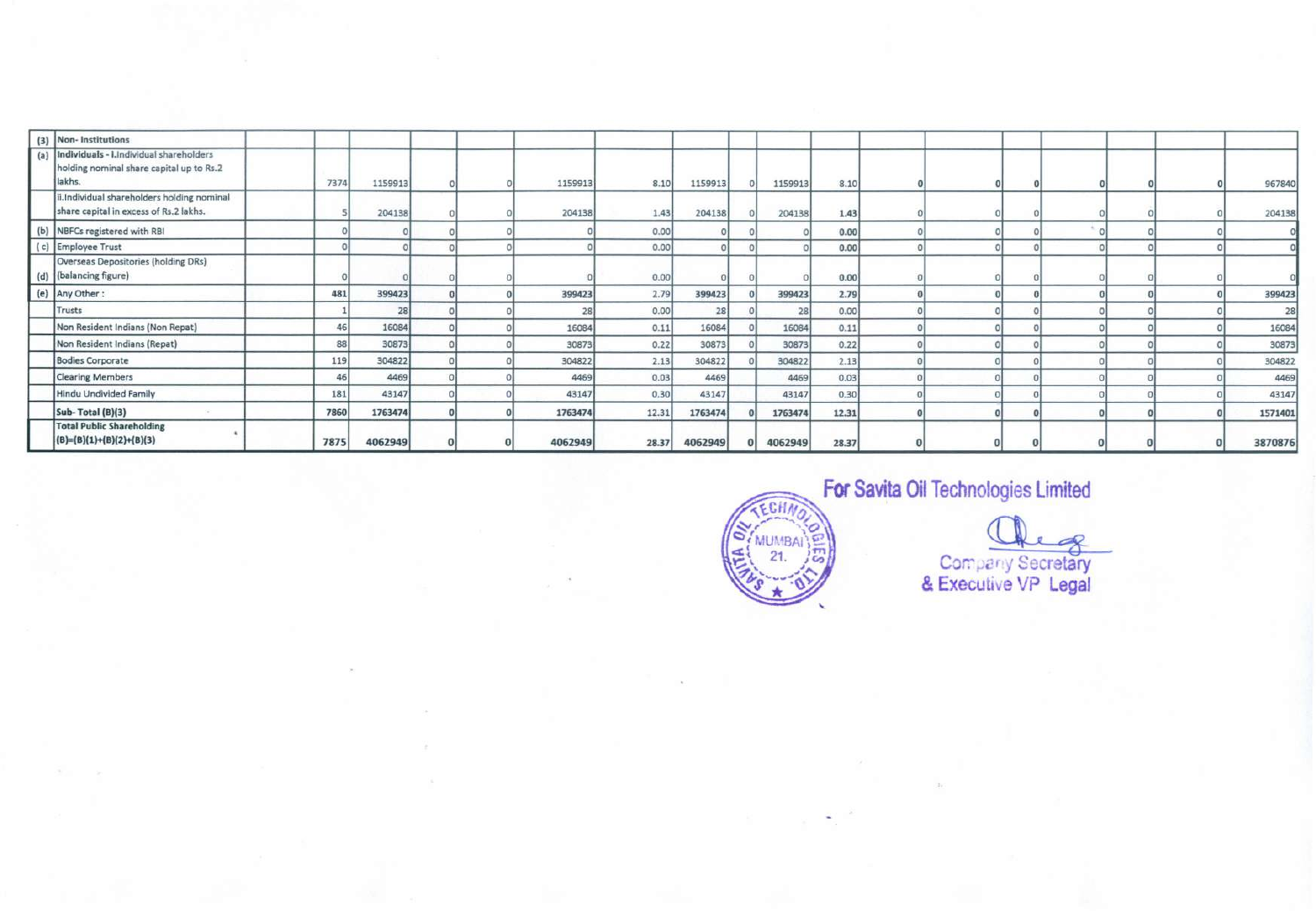| (3) Non- Institutions                                                                              |      |         |  |         |       |         |         |       |  |  |  |         |
|----------------------------------------------------------------------------------------------------|------|---------|--|---------|-------|---------|---------|-------|--|--|--|---------|
| (a) Individuals - i. Individual shareholders<br>holding nominal share capital up to Rs.2<br>lakhs. | 7374 | 1159913 |  | 1159913 | 8.10  | 1159913 | 1159913 | 8.10  |  |  |  | 967840  |
| ii.Individual shareholders holding nominal<br>share capital in excess of Rs.2 lakhs.               |      | 204138  |  | 204138  | 1.43  | 204138  | 204138  | 1.43  |  |  |  | 204138  |
| (b) NBFCs registered with RBI                                                                      |      |         |  |         | 0.00  |         |         | 0.00  |  |  |  |         |
| (c) Employee Trust                                                                                 |      |         |  |         | 0.00  |         |         | 0.00  |  |  |  |         |
| Overseas Depositories (holding DRs)<br>(d) (balancing figure)                                      |      |         |  |         | 0.00  |         |         | 0.00  |  |  |  |         |
| (e) Any Other:                                                                                     | 481  | 399423  |  | 399423  | 2.79  | 399423  | 399423  | 2.79  |  |  |  | 399423  |
| Trusts                                                                                             |      | 28      |  | 28      | 0.00  | 28      | 28      | 0.00  |  |  |  | 28      |
| Non Resident Indians (Non Repat)                                                                   | 46   | 16084   |  | 16084   | 0.11  | 16084   | 16084   | 0.11  |  |  |  | 16084   |
| Non Resident Indians (Repat)                                                                       | 88   | 30873   |  | 30873   | 0.22  | 30873   | 30873   | 0.22  |  |  |  | 30873   |
| <b>Bodies Corporate</b>                                                                            | 119  | 304822  |  | 304822  | 2.13  | 304822  | 304822  | 2.13  |  |  |  | 304822  |
| <b>Clearing Members</b>                                                                            | 46   | 4469    |  | 4469    | 0.03  | 4469    | 4469    | 0.03  |  |  |  | 4469    |
| Hindu Undivided Family                                                                             | 181  | 43147   |  | 43147   | 0.30  | 43147   | 43147   | 0.30  |  |  |  | 43147   |
| Sub-Total (B)(3)                                                                                   | 7860 | 1763474 |  | 1763474 | 12.31 | 1763474 | 1763474 | 12.31 |  |  |  | 1571401 |
| <b>Total Public Shareholding</b><br>$(B)=(B)(1)+(B)(2)+(B)(3)$                                     | 7875 | 4062949 |  | 4062949 | 28.37 | 4062949 | 4062949 | 28.37 |  |  |  | 3870876 |



**For Savita Oil Technologies Limited**  $q$ **Company Secretary & Execu i e VP Legal**